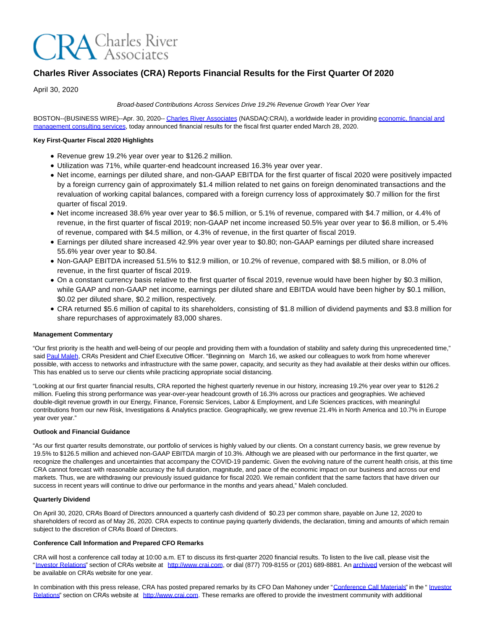# **CRA** Charles River

## **Charles River Associates (CRA) Reports Financial Results for the First Quarter Of 2020**

April 30, 2020

#### Broad-based Contributions Across Services Drive 19.2% Revenue Growth Year Over Year

BOSTON--(BUSINESS WIRE)--Apr. 30, 2020-[- Charles River Associates \(](https://cts.businesswire.com/ct/CT?id=smartlink&url=http%3A%2F%2Fwww.crai.com%2FDefault.aspx&esheet=52211994&newsitemid=20200430005457&lan=en-US&anchor=Charles+River+Associates&index=1&md5=9cfe47699d4c0e51c3d88910acea1d01)NASDAQ:CRAI), a worldwide leader in providin[g economic, financial and](https://cts.businesswire.com/ct/CT?id=smartlink&url=http%3A%2F%2Fwww.crai.com%2F&esheet=52211994&newsitemid=20200430005457&lan=en-US&anchor=economic%2C+financial+and+management+consulting+services&index=2&md5=35887b32aac016e51a06b0a5dd9abd2e) management consulting services, today announced financial results for the fiscal first quarter ended March 28, 2020.

#### **Key First-Quarter Fiscal 2020 Highlights**

- Revenue grew 19.2% year over year to \$126.2 million.
- Utilization was 71%, while quarter-end headcount increased 16.3% year over year.
- Net income, earnings per diluted share, and non-GAAP EBITDA for the first quarter of fiscal 2020 were positively impacted by a foreign currency gain of approximately \$1.4 million related to net gains on foreign denominated transactions and the revaluation of working capital balances, compared with a foreign currency loss of approximately \$0.7 million for the first quarter of fiscal 2019.
- Net income increased 38.6% year over year to \$6.5 million, or 5.1% of revenue, compared with \$4.7 million, or 4.4% of revenue, in the first quarter of fiscal 2019; non-GAAP net income increased 50.5% year over year to \$6.8 million, or 5.4% of revenue, compared with \$4.5 million, or 4.3% of revenue, in the first quarter of fiscal 2019.
- Earnings per diluted share increased 42.9% year over year to \$0.80; non-GAAP earnings per diluted share increased 55.6% year over year to \$0.84.
- Non-GAAP EBITDA increased 51.5% to \$12.9 million, or 10.2% of revenue, compared with \$8.5 million, or 8.0% of revenue, in the first quarter of fiscal 2019.
- On a constant currency basis relative to the first quarter of fiscal 2019, revenue would have been higher by \$0.3 million, while GAAP and non-GAAP net income, earnings per diluted share and EBITDA would have been higher by \$0.1 million, \$0.02 per diluted share, \$0.2 million, respectively.
- CRA returned \$5.6 million of capital to its shareholders, consisting of \$1.8 million of dividend payments and \$3.8 million for share repurchases of approximately 83,000 shares.

#### **Management Commentary**

"Our first priority is the health and well-being of our people and providing them with a foundation of stability and safety during this unprecedented time," said [Paul Maleh,](https://cts.businesswire.com/ct/CT?id=smartlink&url=http%3A%2F%2Fwww.crai.com%2Fexpert%2Fpaul-maleh&esheet=52211994&newsitemid=20200430005457&lan=en-US&anchor=Paul+Maleh&index=3&md5=fc58a6f0df6b88ce6784e24d5ec8a7bf) CRA's President and Chief Executive Officer. "Beginning on March 16, we asked our colleagues to work from home wherever possible, with access to networks and infrastructure with the same power, capacity, and security as they had available at their desks within our offices. This has enabled us to serve our clients while practicing appropriate social distancing.

"Looking at our first quarter financial results, CRA reported the highest quarterly revenue in our history, increasing 19.2% year over year to \$126.2 million. Fueling this strong performance was year-over-year headcount growth of 16.3% across our practices and geographies. We achieved double-digit revenue growth in our Energy, Finance, Forensic Services, Labor & Employment, and Life Sciences practices, with meaningful contributions from our new Risk, Investigations & Analytics practice. Geographically, we grew revenue 21.4% in North America and 10.7% in Europe year over year."

#### **Outlook and Financial Guidance**

"As our first quarter results demonstrate, our portfolio of services is highly valued by our clients. On a constant currency basis, we grew revenue by 19.5% to \$126.5 million and achieved non-GAAP EBITDA margin of 10.3%. Although we are pleased with our performance in the first quarter, we recognize the challenges and uncertainties that accompany the COVID-19 pandemic. Given the evolving nature of the current health crisis, at this time CRA cannot forecast with reasonable accuracy the full duration, magnitude, and pace of the economic impact on our business and across our end markets. Thus, we are withdrawing our previously issued guidance for fiscal 2020. We remain confident that the same factors that have driven our success in recent years will continue to drive our performance in the months and years ahead," Maleh concluded.

#### **Quarterly Dividend**

On April 30, 2020, CRA's Board of Directors announced a quarterly cash dividend of \$0.23 per common share, payable on June 12, 2020 to shareholders of record as of May 26, 2020. CRA expects to continue paying quarterly dividends, the declaration, timing and amounts of which remain subject to the discretion of CRA's Board of Directors.

#### **Conference Call Information and Prepared CFO Remarks**

CRA will host a conference call today at 10:00 a.m. ET to discuss its first-quarter 2020 financial results. To listen to the live call, please visit the ["Investor Relations"](https://cts.businesswire.com/ct/CT?id=smartlink&url=https%3A%2F%2Fcrainternationalinc.gcs-web.com%2Finvestor-overview&esheet=52211994&newsitemid=20200430005457&lan=en-US&anchor=Investor+Relations&index=4&md5=1b29c12823f561c92a8bb6cd565483b0) section of CRA's website at [http://www.crai.com,](https://cts.businesswire.com/ct/CT?id=smartlink&url=http%3A%2F%2Fwww.crai.com%2FDefault.aspx&esheet=52211994&newsitemid=20200430005457&lan=en-US&anchor=http%3A%2F%2Fwww.crai.com&index=5&md5=90d286041cffc0919580368bea7c6afe) or dial (877) 709-8155 or (201) 689-8881. A[n archived v](https://cts.businesswire.com/ct/CT?id=smartlink&url=https%3A%2F%2Fcrainternationalinc.gcs-web.com%2Fevents-and-presentations%2Fpast-event&esheet=52211994&newsitemid=20200430005457&lan=en-US&anchor=archived&index=6&md5=06d19d0495cebe25492fe0d6750ef609)ersion of the webcast will be available on CRA's website for one year.

In combination with this press release, CRA has posted prepared remarks by its CFO Dan Mahoney under ["Conference Call Materials"](https://cts.businesswire.com/ct/CT?id=smartlink&url=https%3A%2F%2Fcrainternationalinc.gcs-web.com%2Ffinancial-information%2Fquarterly-results&esheet=52211994&newsitemid=20200430005457&lan=en-US&anchor=Conference+Call+Materials&index=7&md5=1dd948f36f2f286515fc4bc40a686faf) in the " [Investor](https://cts.businesswire.com/ct/CT?id=smartlink&url=https%3A%2F%2Fcrainternationalinc.gcs-web.com%2Finvestor-overview&esheet=52211994&newsitemid=20200430005457&lan=en-US&anchor=Investor+Relations&index=8&md5=9b8345c48fb594b35aebf445e0185d63) Relations" section on CRA's website at [http://www.crai.com.](https://cts.businesswire.com/ct/CT?id=smartlink&url=http%3A%2F%2Fwww.crai.com%2FDefault.aspx&esheet=52211994&newsitemid=20200430005457&lan=en-US&anchor=http%3A%2F%2Fwww.crai.com&index=9&md5=5d1fa4d8bbe53e458c424a8532ea9ea9) These remarks are offered to provide the investment community with additional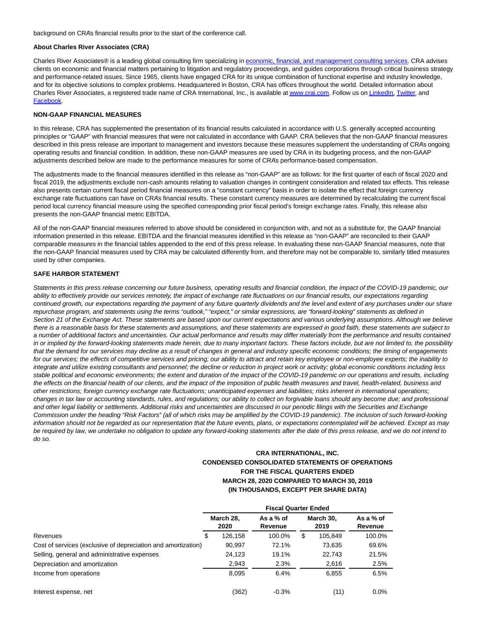background on CRA's financial results prior to the start of the conference call.

#### **About Charles River Associates (CRA)**

Charles River Associates® is a leading global consulting firm specializing i[n economic, financial, and management consulting services.](https://cts.businesswire.com/ct/CT?id=smartlink&url=http%3A%2F%2Fwww.crai.com%2F&esheet=52211994&newsitemid=20200430005457&lan=en-US&anchor=economic%2C+financial%2C+and+management+consulting+services&index=10&md5=35e18db26d117fc8bda664f45ec59976) CRA advises clients on economic and financial matters pertaining to litigation and regulatory proceedings, and guides corporations through critical business strategy and performance-related issues. Since 1965, clients have engaged CRA for its unique combination of functional expertise and industry knowledge, and for its objective solutions to complex problems. Headquartered in Boston, CRA has offices throughout the world. Detailed information about Charles River Associates, a registered trade name of CRA International, Inc., is available a[t www.crai.com.](https://cts.businesswire.com/ct/CT?id=smartlink&url=http%3A%2F%2Fwww.crai.com&esheet=52211994&newsitemid=20200430005457&lan=en-US&anchor=www.crai.com&index=11&md5=91d25f0b589f056ec10156eed06970a1) Follow us o[n LinkedIn,](https://cts.businesswire.com/ct/CT?id=smartlink&url=https%3A%2F%2Fwww.linkedin.com%2Fcompany%2Fcharles-river-associates&esheet=52211994&newsitemid=20200430005457&lan=en-US&anchor=LinkedIn&index=12&md5=2c97eb6d1a4581c2ba081284e1caa436) [Twitter,](https://cts.businesswire.com/ct/CT?id=smartlink&url=https%3A%2F%2Ftwitter.com%2FNews_CRA&esheet=52211994&newsitemid=20200430005457&lan=en-US&anchor=Twitter&index=13&md5=9a6690c4cb9a638d0dc9a90476bbf0eb) and [Facebook.](https://cts.businesswire.com/ct/CT?id=smartlink&url=https%3A%2F%2Fwww.facebook.com%2FCharlesRiverAssociates&esheet=52211994&newsitemid=20200430005457&lan=en-US&anchor=Facebook&index=14&md5=6bf50e3667629c8abd90a27563f5da51)

#### **NON-GAAP FINANCIAL MEASURES**

In this release, CRA has supplemented the presentation of its financial results calculated in accordance with U.S. generally accepted accounting principles or "GAAP" with financial measures that were not calculated in accordance with GAAP. CRA believes that the non-GAAP financial measures described in this press release are important to management and investors because these measures supplement the understanding of CRA's ongoing operating results and financial condition. In addition, these non-GAAP measures are used by CRA in its budgeting process, and the non-GAAP adjustments described below are made to the performance measures for some of CRA's performance-based compensation.

The adjustments made to the financial measures identified in this release as "non-GAAP" are as follows: for the first quarter of each of fiscal 2020 and fiscal 2019, the adjustments exclude non-cash amounts relating to valuation changes in contingent consideration and related tax effects. This release also presents certain current fiscal period financial measures on a "constant currency" basis in order to isolate the effect that foreign currency exchange rate fluctuations can have on CRA's financial results. These constant currency measures are determined by recalculating the current fiscal period local currency financial measure using the specified corresponding prior fiscal period's foreign exchange rates. Finally, this release also presents the non-GAAP financial metric EBITDA.

All of the non-GAAP financial measures referred to above should be considered in conjunction with, and not as a substitute for, the GAAP financial information presented in this release. EBITDA and the financial measures identified in this release as "non-GAAP" are reconciled to their GAAP comparable measures in the financial tables appended to the end of this press release. In evaluating these non-GAAP financial measures, note that the non-GAAP financial measures used by CRA may be calculated differently from, and therefore may not be comparable to, similarly titled measures used by other companies.

#### **SAFE HARBOR STATEMENT**

Statements in this press release concerning our future business, operating results and financial condition, the impact of the COVID-19 pandemic, our ability to effectively provide our services remotely, the impact of exchange rate fluctuations on our financial results, our expectations regarding continued growth, our expectations regarding the payment of any future quarterly dividends and the level and extent of any purchases under our share repurchase program, and statements using the terms "outlook," "expect," or similar expressions, are "forward-looking" statements as defined in Section 21 of the Exchange Act. These statements are based upon our current expectations and various underlying assumptions. Although we believe there is a reasonable basis for these statements and assumptions, and these statements are expressed in good faith, these statements are subject to a number of additional factors and uncertainties. Our actual performance and results may differ materially from the performance and results contained in or implied by the forward-looking statements made herein, due to many important factors. These factors include, but are not limited to, the possibility that the demand for our services may decline as a result of changes in general and industry specific economic conditions; the timing of engagements for our services; the effects of competitive services and pricing; our ability to attract and retain key employee or non-employee experts; the inability to integrate and utilize existing consultants and personnel; the decline or reduction in project work or activity; global economic conditions including less stable political and economic environments; the extent and duration of the impact of the COVID-19 pandemic on our operations and results, including the effects on the financial health of our clients, and the impact of the imposition of public health measures and travel, health-related, business and other restrictions; foreign currency exchange rate fluctuations; unanticipated expenses and liabilities; risks inherent in international operations; changes in tax law or accounting standards, rules, and regulations; our ability to collect on forgivable loans should any become due; and professional and other legal liability or settlements. Additional risks and uncertainties are discussed in our periodic filings with the Securities and Exchange Commission under the heading "Risk Factors" (all of which risks may be amplified by the COVID-19 pandemic). The inclusion of such forward-looking information should not be regarded as our representation that the future events, plans, or expectations contemplated will be achieved. Except as may be required by law, we undertake no obligation to update any forward-looking statements after the date of this press release, and we do not intend to do so.

### **CRA INTERNATIONAL, INC. CONDENSED CONSOLIDATED STATEMENTS OF OPERATIONS FOR THE FISCAL QUARTERS ENDED MARCH 28, 2020 COMPARED TO MARCH 30, 2019 (IN THOUSANDS, EXCEPT PER SHARE DATA)**

|                                                               |   | <b>Fiscal Quarter Ended</b> |                      |                   |         |                      |  |  |  |  |  |
|---------------------------------------------------------------|---|-----------------------------|----------------------|-------------------|---------|----------------------|--|--|--|--|--|
|                                                               |   | March 28,<br>2020           | As a % of<br>Revenue | March 30,<br>2019 |         | As a % of<br>Revenue |  |  |  |  |  |
| Revenues                                                      | S | 126.158                     | 100.0%               | \$                | 105.849 | 100.0%               |  |  |  |  |  |
| Cost of services (exclusive of depreciation and amortization) |   | 90,997                      | 72.1%                |                   | 73,635  | 69.6%                |  |  |  |  |  |
| Selling, general and administrative expenses                  |   | 24,123                      | 19.1%                |                   | 22.743  | 21.5%                |  |  |  |  |  |
| Depreciation and amortization                                 |   | 2,943                       | 2.3%                 |                   | 2,616   | 2.5%                 |  |  |  |  |  |
| Income from operations                                        |   | 8,095                       | 6.4%                 |                   | 6,855   | 6.5%                 |  |  |  |  |  |
| Interest expense, net                                         |   | (362)                       | $-0.3%$              |                   | (11)    | $0.0\%$              |  |  |  |  |  |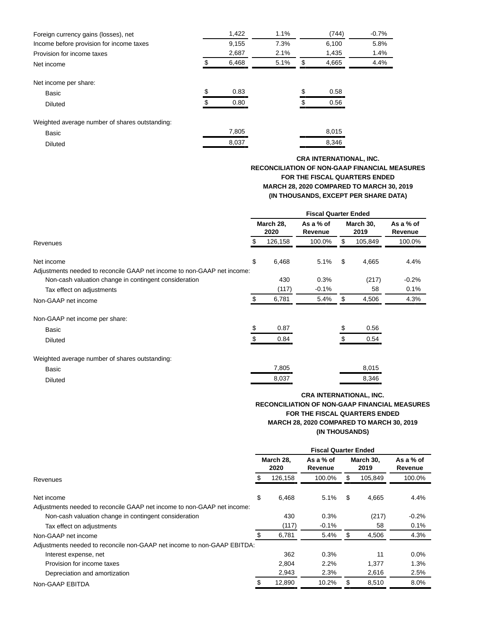| Foreign currency gains (losses), net           | 1,422      | 1.1% | (744)       | $-0.7%$ |
|------------------------------------------------|------------|------|-------------|---------|
| Income before provision for income taxes       | 9,155      | 7.3% | 6,100       | 5.8%    |
| Provision for income taxes                     | 2,687      | 2.1% | 1,435       | 1.4%    |
| Net income                                     | 6,468      | 5.1% | \$<br>4,665 | 4.4%    |
| Net income per share:                          |            |      |             |         |
| Basic                                          | \$<br>0.83 |      | \$<br>0.58  |         |
| <b>Diluted</b>                                 | 0.80       |      | 0.56        |         |
| Weighted average number of shares outstanding: |            |      |             |         |
| Basic                                          | 7,805      |      | 8,015       |         |
| <b>Diluted</b>                                 | 8,037      |      | 8,346       |         |

## **CRA INTERNATIONAL, INC. RECONCILIATION OF NON-GAAP FINANCIAL MEASURES FOR THE FISCAL QUARTERS ENDED MARCH 28, 2020 COMPARED TO MARCH 30, 2019 (IN THOUSANDS, EXCEPT PER SHARE DATA)**

|                                                                                       | <b>Fiscal Quarter Ended</b> |         |                      |                   |         |                      |  |  |
|---------------------------------------------------------------------------------------|-----------------------------|---------|----------------------|-------------------|---------|----------------------|--|--|
|                                                                                       | March 28,<br>2020           |         | As a % of<br>Revenue | March 30,<br>2019 |         | As a % of<br>Revenue |  |  |
| Revenues                                                                              |                             | 126,158 | 100.0%               | \$.               | 105,849 | 100.0%               |  |  |
| Net income<br>Adjustments needed to reconcile GAAP net income to non-GAAP net income: | \$                          | 6,468   | 5.1%                 | \$                | 4,665   | 4.4%                 |  |  |
| Non-cash valuation change in contingent consideration                                 |                             | 430     | 0.3%                 |                   | (217)   | $-0.2%$              |  |  |
| Tax effect on adjustments                                                             |                             | (117)   | $-0.1%$              |                   | 58      | 0.1%                 |  |  |
| Non-GAAP net income                                                                   | \$                          | 6,781   | 5.4%                 | \$                | 4,506   | 4.3%                 |  |  |
| Non-GAAP net income per share:                                                        |                             |         |                      |                   |         |                      |  |  |
| <b>Basic</b>                                                                          | \$                          | 0.87    |                      | S                 | 0.56    |                      |  |  |
| <b>Diluted</b>                                                                        |                             | 0.84    |                      |                   | 0.54    |                      |  |  |
| Weighted average number of shares outstanding:                                        |                             |         |                      |                   |         |                      |  |  |
| Basic                                                                                 |                             | 7,805   |                      |                   | 8,015   |                      |  |  |
| <b>Diluted</b>                                                                        |                             | 8,037   |                      |                   | 8,346   |                      |  |  |

## **CRA INTERNATIONAL, INC. RECONCILIATION OF NON-GAAP FINANCIAL MEASURES FOR THE FISCAL QUARTERS ENDED MARCH 28, 2020 COMPARED TO MARCH 30, 2019 (IN THOUSANDS)**

|                                                                                       | <b>Fiscal Quarter Ended</b> |              |                      |    |                   |                      |  |
|---------------------------------------------------------------------------------------|-----------------------------|--------------|----------------------|----|-------------------|----------------------|--|
|                                                                                       | March 28,<br>2020           |              | As a % of<br>Revenue |    | March 30,<br>2019 | As a % of<br>Revenue |  |
| Revenues                                                                              | æ.                          | 126,158      | 100.0%               | \$ | 105,849           | 100.0%               |  |
| Net income<br>Adjustments needed to reconcile GAAP net income to non-GAAP net income: | \$                          | 6,468        | 5.1%                 | S  | 4,665             | 4.4%                 |  |
| Non-cash valuation change in contingent consideration<br>Tax effect on adjustments    |                             | 430<br>(117) | 0.3%<br>$-0.1%$      |    | (217)<br>58       | $-0.2%$<br>0.1%      |  |
| Non-GAAP net income                                                                   | S                           | 6,781        | 5.4%                 | S  | 4,506             | 4.3%                 |  |
| Adjustments needed to reconcile non-GAAP net income to non-GAAP EBITDA:               |                             |              |                      |    |                   |                      |  |
| Interest expense, net                                                                 |                             | 362          | 0.3%                 |    | 11                | 0.0%                 |  |
| Provision for income taxes                                                            |                             | 2,804        | 2.2%                 |    | 1,377             | 1.3%                 |  |
| Depreciation and amortization                                                         |                             | 2,943        | 2.3%                 |    | 2,616             | 2.5%                 |  |
| Non-GAAP EBITDA                                                                       | \$                          | 12,890       | 10.2%                | S  | 8,510             | 8.0%                 |  |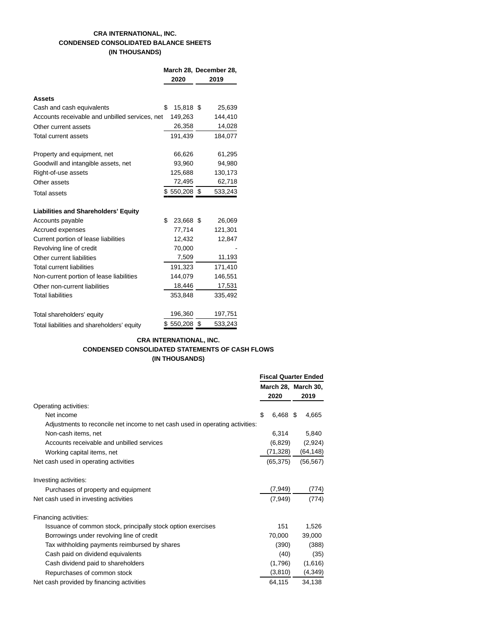## **CRA INTERNATIONAL, INC. CONDENSED CONSOLIDATED BALANCE SHEETS (IN THOUSANDS)**

|                                                | 2020            | March 28, December 28,<br>2019 |
|------------------------------------------------|-----------------|--------------------------------|
| <b>Assets</b>                                  |                 |                                |
| Cash and cash equivalents                      | \$<br>15.818 \$ | 25,639                         |
| Accounts receivable and unbilled services, net | 149,263         | 144,410                        |
| Other current assets                           | 26,358          | 14,028                         |
| <b>Total current assets</b>                    | 191,439         | 184,077                        |
| Property and equipment, net                    | 66,626          | 61,295                         |
| Goodwill and intangible assets, net            | 93,960          | 94,980                         |
| Right-of-use assets                            | 125,688         | 130,173                        |
| Other assets                                   | 72,495          | 62,718                         |
| <b>Total assets</b>                            | $$550,208$ \$   | 533,243                        |
| <b>Liabilities and Shareholders' Equity</b>    |                 |                                |
| Accounts payable                               | \$<br>23,668 \$ | 26,069                         |
| Accrued expenses                               | 77,714          | 121,301                        |
| Current portion of lease liabilities           | 12,432          | 12,847                         |
| Revolving line of credit                       | 70,000          |                                |
| Other current liabilities                      | 7,509           | 11,193                         |
| <b>Total current liabilities</b>               | 191,323         | 171,410                        |
| Non-current portion of lease liabilities       | 144,079         | 146,551                        |
| Other non-current liabilities                  | 18,446          | 17,531                         |
| <b>Total liabilities</b>                       | 353,848         | 335,492                        |
| Total shareholders' equity                     | 196,360         | 197,751                        |
| Total liabilities and shareholders' equity     | $$550,208$ \$   | 533,243                        |

## **CRA INTERNATIONAL, INC. CONDENSED CONSOLIDATED STATEMENTS OF CASH FLOWS (IN THOUSANDS)**

|                                                                               | <b>Fiscal Quarter Ended</b> |           |     |           |
|-------------------------------------------------------------------------------|-----------------------------|-----------|-----|-----------|
|                                                                               | March 28, March 30,         |           |     |           |
|                                                                               |                             | 2020      |     | 2019      |
| Operating activities:                                                         |                             |           |     |           |
| Net income                                                                    | \$                          | 6,468     | \$. | 4,665     |
| Adjustments to reconcile net income to net cash used in operating activities: |                             |           |     |           |
| Non-cash items, net                                                           |                             | 6,314     |     | 5,840     |
| Accounts receivable and unbilled services                                     |                             | (6,829)   |     | (2,924)   |
| Working capital items, net                                                    |                             | (71,328)  |     | (64,148)  |
| Net cash used in operating activities                                         |                             | (65, 375) |     | (56, 567) |
| Investing activities:                                                         |                             |           |     |           |
| Purchases of property and equipment                                           |                             | (7,949)   |     | (774)     |
| Net cash used in investing activities                                         |                             | (7,949)   |     | (774)     |
| Financing activities:                                                         |                             |           |     |           |
| Issuance of common stock, principally stock option exercises                  |                             | 151       |     | 1.526     |
| Borrowings under revolving line of credit                                     |                             | 70.000    |     | 39.000    |
| Tax withholding payments reimbursed by shares                                 |                             | (390)     |     | (388)     |
| Cash paid on dividend equivalents                                             |                             | (40)      |     | (35)      |
| Cash dividend paid to shareholders                                            |                             | (1,796)   |     | (1,616)   |
| Repurchases of common stock                                                   |                             | (3,810)   |     | (4, 349)  |
| Net cash provided by financing activities                                     |                             | 64,115    |     | 34,138    |